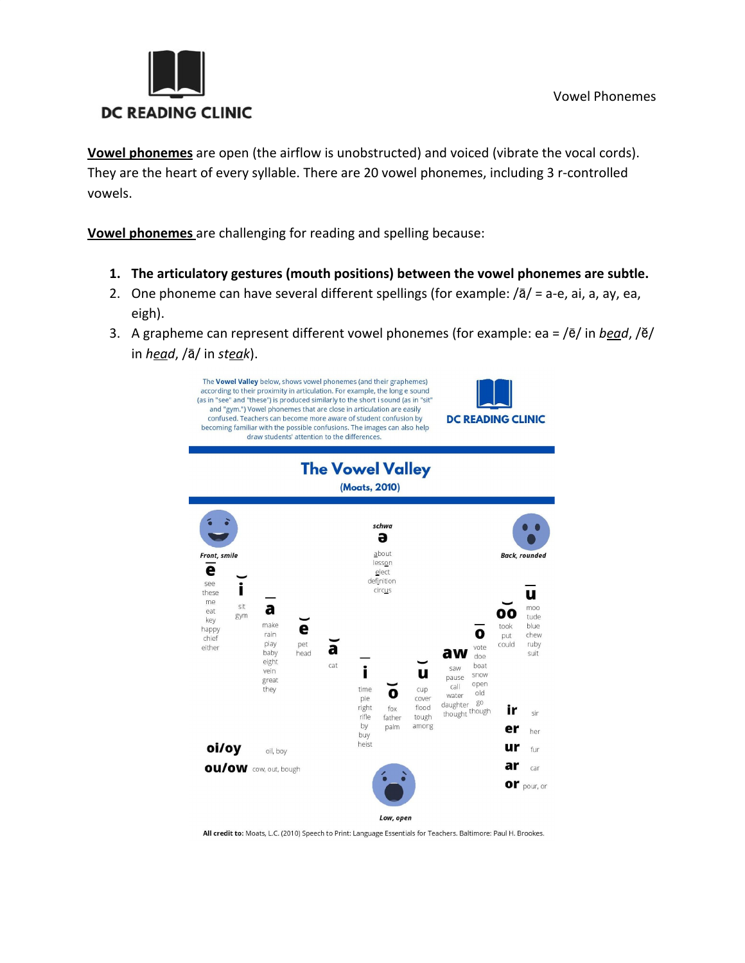

**Vowel phonemes** are open (the airflow is unobstructed) and voiced (vibrate the vocal cords). They are the heart of every syllable. There are 20 vowel phonemes, including 3 r-controlled vowels.

**Vowel phonemes** are challenging for reading and spelling because:

- **1. The articulatory gestures (mouth positions) between the vowel phonemes are subtle.**
- 2. One phoneme can have several different spellings (for example:  $\sqrt{a}$  = a-e, ai, a, ay, ea, eigh).
- 3. A grapheme can represent different vowel phonemes (for example: ea = /ē/ in *bead*, /ĕ/ in *head*, /ā/ in *steak*).



All credit to: Moats, L.C. (2010) Speech to Print: Language Essentials for Teachers. Baltimore: Paul H. Brookes.